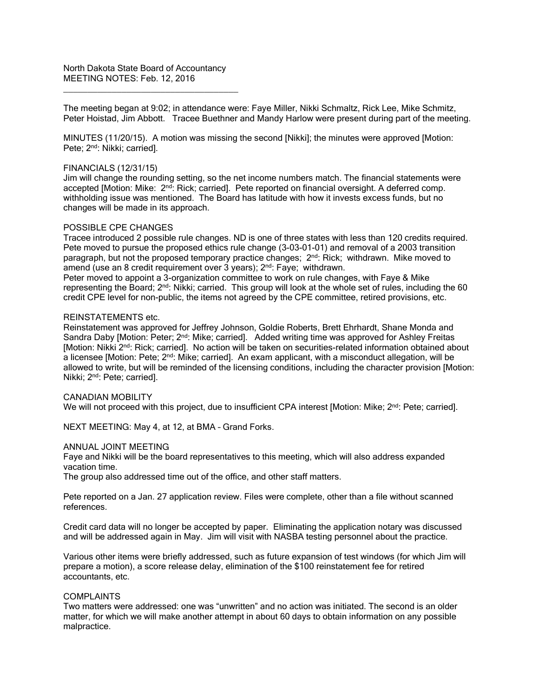North Dakota State Board of Accountancy MEETING NOTES: Feb. 12, 2016

\_\_\_\_\_\_\_\_\_\_\_\_\_\_\_\_\_\_\_\_\_\_\_\_\_\_\_\_\_\_\_\_\_\_\_\_

The meeting began at 9:02; in attendance were: Faye Miller, Nikki Schmaltz, Rick Lee, Mike Schmitz, Peter Hoistad, Jim Abbott. Tracee Buethner and Mandy Harlow were present during part of the meeting.

MINUTES (11/20/15). A motion was missing the second [Nikki]; the minutes were approved [Motion: Pete; 2<sup>nd</sup>: Nikki; carried].

#### FINANCIALS (12/31/15)

Jim will change the rounding setting, so the net income numbers match. The financial statements were accepted [Motion: Mike: 2nd: Rick; carried]. Pete reported on financial oversight. A deferred comp. withholding issue was mentioned. The Board has latitude with how it invests excess funds, but no changes will be made in its approach.

#### POSSIBLE CPE CHANGES

Tracee introduced 2 possible rule changes. ND is one of three states with less than 120 credits required. Pete moved to pursue the proposed ethics rule change (3-03-01-01) and removal of a 2003 transition paragraph, but not the proposed temporary practice changes;  $2^{nd}$ : Rick; withdrawn. Mike moved to amend (use an 8 credit requirement over 3 years); 2<sup>nd</sup>: Faye; withdrawn.

Peter moved to appoint a 3-organization committee to work on rule changes, with Faye & Mike representing the Board; 2nd: Nikki; carried. This group will look at the whole set of rules, including the 60 credit CPE level for non-public, the items not agreed by the CPE committee, retired provisions, etc.

#### REINSTATEMENTS etc.

Reinstatement was approved for Jeffrey Johnson, Goldie Roberts, Brett Ehrhardt, Shane Monda and Sandra Daby [Motion: Peter; 2<sup>nd</sup>: Mike; carried]. Added writing time was approved for Ashley Freitas [Motion: Nikki 2<sup>nd</sup>: Rick; carried]. No action will be taken on securities-related information obtained about a licensee [Motion: Pete;  $2<sup>nd</sup>$ : Mike; carried]. An exam applicant, with a misconduct allegation, will be allowed to write, but will be reminded of the licensing conditions, including the character provision [Motion: Nikki; 2nd: Pete; carried].

CANADIAN MOBILITY We will not proceed with this project, due to insufficient CPA interest [Motion: Mike; 2<sup>nd</sup>: Pete; carried].

NEXT MEETING: May 4, at 12, at BMA – Grand Forks.

#### ANNUAL JOINT MEETING

Faye and Nikki will be the board representatives to this meeting, which will also address expanded vacation time.

The group also addressed time out of the office, and other staff matters.

Pete reported on a Jan. 27 application review. Files were complete, other than a file without scanned references.

Credit card data will no longer be accepted by paper. Eliminating the application notary was discussed and will be addressed again in May. Jim will visit with NASBA testing personnel about the practice.

Various other items were briefly addressed, such as future expansion of test windows (for which Jim will prepare a motion), a score release delay, elimination of the \$100 reinstatement fee for retired accountants, etc.

### COMPLAINTS

Two matters were addressed: one was "unwritten" and no action was initiated. The second is an older matter, for which we will make another attempt in about 60 days to obtain information on any possible malpractice.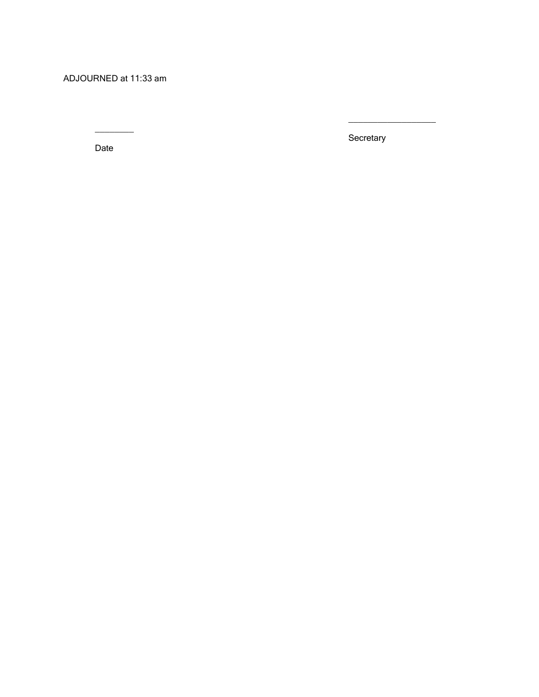ADJOURNED at 11:33 am

Date

 $\frac{1}{2}$ 

**Secretary**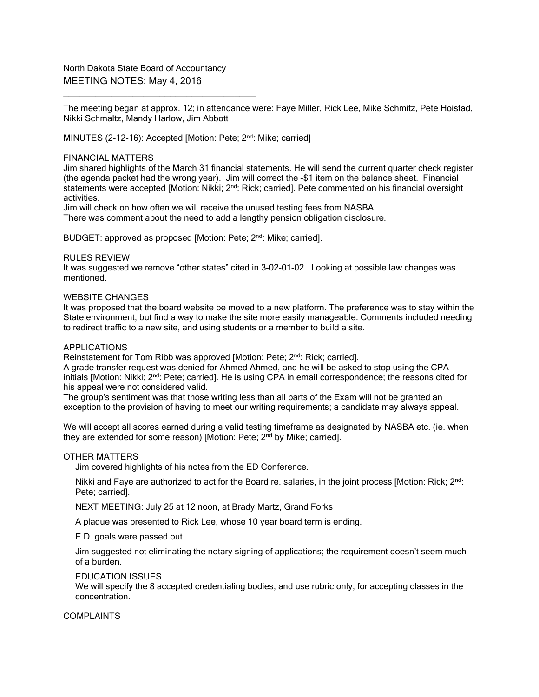North Dakota State Board of Accountancy MEETING NOTES: May 4, 2016

\_\_\_\_\_\_\_\_\_\_\_\_\_\_\_\_\_\_\_\_\_\_\_\_\_\_\_\_\_\_\_\_\_\_\_\_

The meeting began at approx. 12; in attendance were: Faye Miller, Rick Lee, Mike Schmitz, Pete Hoistad, Nikki Schmaltz, Mandy Harlow, Jim Abbott

MINUTES (2-12-16): Accepted [Motion: Pete; 2<sup>nd</sup>: Mike; carried]

### FINANCIAL MATTERS

Jim shared highlights of the March 31 financial statements. He will send the current quarter check register (the agenda packet had the wrong year). Jim will correct the -\$1 item on the balance sheet. Financial statements were accepted [Motion: Nikki; 2<sup>nd</sup>: Rick; carried]. Pete commented on his financial oversight activities.

Jim will check on how often we will receive the unused testing fees from NASBA. There was comment about the need to add a lengthy pension obligation disclosure.

BUDGET: approved as proposed [Motion: Pete; 2<sup>nd</sup>: Mike; carried].

### RULES REVIEW

It was suggested we remove "other states" cited in 3-02-01-02. Looking at possible law changes was mentioned.

# WEBSITE CHANGES

It was proposed that the board website be moved to a new platform. The preference was to stay within the State environment, but find a way to make the site more easily manageable. Comments included needing to redirect traffic to a new site, and using students or a member to build a site.

#### APPLICATIONS

Reinstatement for Tom Ribb was approved [Motion: Pete; 2<sup>nd</sup>: Rick; carried].

A grade transfer request was denied for Ahmed Ahmed, and he will be asked to stop using the CPA initials [Motion: Nikki; 2<sup>nd</sup>: Pete; carried]. He is using CPA in email correspondence; the reasons cited for his appeal were not considered valid.

The group's sentiment was that those writing less than all parts of the Exam will not be granted an exception to the provision of having to meet our writing requirements; a candidate may always appeal.

We will accept all scores earned during a valid testing timeframe as designated by NASBA etc. (ie. when they are extended for some reason) [Motion: Pete; 2nd by Mike; carried].

#### OTHER MATTERS

Jim covered highlights of his notes from the ED Conference.

Nikki and Faye are authorized to act for the Board re. salaries, in the joint process [Motion: Rick; 2<sup>nd</sup>: Pete; carried].

NEXT MEETING: July 25 at 12 noon, at Brady Martz, Grand Forks

A plaque was presented to Rick Lee, whose 10 year board term is ending.

E.D. goals were passed out.

Jim suggested not eliminating the notary signing of applications; the requirement doesn't seem much of a burden.

## EDUCATION ISSUES

We will specify the 8 accepted credentialing bodies, and use rubric only, for accepting classes in the concentration.

#### COMPLAINTS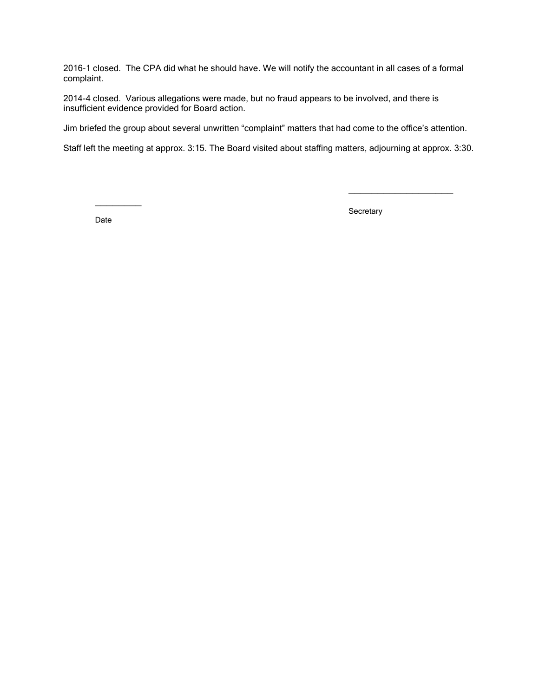2016-1 closed. The CPA did what he should have. We will notify the accountant in all cases of a formal complaint.

2014-4 closed. Various allegations were made, but no fraud appears to be involved, and there is insufficient evidence provided for Board action.

Jim briefed the group about several unwritten "complaint" matters that had come to the office's attention.

Staff left the meeting at approx. 3:15. The Board visited about staffing matters, adjourning at approx. 3:30.

Date

 $\overline{\phantom{a}}$ 

**Secretary**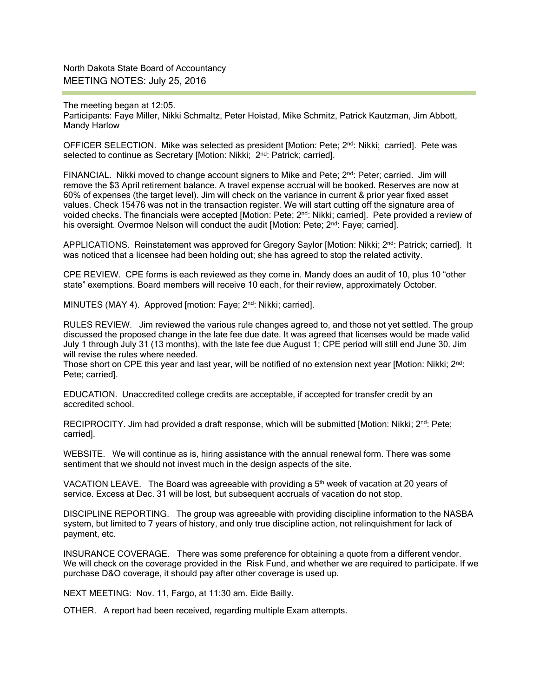North Dakota State Board of Accountancy MEETING NOTES: July 25, 2016

The meeting began at 12:05. Participants: Faye Miller, Nikki Schmaltz, Peter Hoistad, Mike Schmitz, Patrick Kautzman, Jim Abbott, Mandy Harlow

OFFICER SELECTION. Mike was selected as president [Motion: Pete; 2<sup>nd</sup>: Nikki; carried]. Pete was selected to continue as Secretary [Motion: Nikki; 2<sup>nd</sup>: Patrick; carried].

FINANCIAL. Nikki moved to change account signers to Mike and Pete; 2<sup>nd</sup>: Peter; carried. Jim will remove the \$3 April retirement balance. A travel expense accrual will be booked. Reserves are now at 60% of expenses (the target level). Jim will check on the variance in current & prior year fixed asset values. Check 15476 was not in the transaction register. We will start cutting off the signature area of voided checks. The financials were accepted [Motion: Pete; 2nd: Nikki; carried]. Pete provided a review of his oversight. Overmoe Nelson will conduct the audit [Motion: Pete;  $2<sup>nd</sup>$ : Faye; carried].

APPLICATIONS. Reinstatement was approved for Gregory Saylor [Motion: Nikki; 2<sup>nd</sup>: Patrick; carried]. It was noticed that a licensee had been holding out; she has agreed to stop the related activity.

CPE REVIEW. CPE forms is each reviewed as they come in. Mandy does an audit of 10, plus 10 "other state" exemptions. Board members will receive 10 each, for their review, approximately October.

MINUTES (MAY 4). Approved [motion: Faye: 2<sup>nd</sup>: Nikki; carried].

RULES REVIEW. Jim reviewed the various rule changes agreed to, and those not yet settled. The group discussed the proposed change in the late fee due date. It was agreed that licenses would be made valid July 1 through July 31 (13 months), with the late fee due August 1; CPE period will still end June 30. Jim will revise the rules where needed.

Those short on CPE this year and last year, will be notified of no extension next year [Motion: Nikki; 2<sup>nd</sup>: Pete; carried].

EDUCATION. Unaccredited college credits are acceptable, if accepted for transfer credit by an accredited school.

RECIPROCITY. Jim had provided a draft response, which will be submitted [Motion: Nikki; 2<sup>nd</sup>: Pete; carried].

WEBSITE. We will continue as is, hiring assistance with the annual renewal form. There was some sentiment that we should not invest much in the design aspects of the site.

VACATION LEAVE. The Board was agreeable with providing a 5<sup>th</sup> week of vacation at 20 years of service. Excess at Dec. 31 will be lost, but subsequent accruals of vacation do not stop.

DISCIPLINE REPORTING. The group was agreeable with providing discipline information to the NASBA system, but limited to 7 years of history, and only true discipline action, not relinquishment for lack of payment, etc.

INSURANCE COVERAGE. There was some preference for obtaining a quote from a different vendor. We will check on the coverage provided in the Risk Fund, and whether we are required to participate. If we purchase D&O coverage, it should pay after other coverage is used up.

NEXT MEETING: Nov. 11, Fargo, at 11:30 am. Eide Bailly.

OTHER. A report had been received, regarding multiple Exam attempts.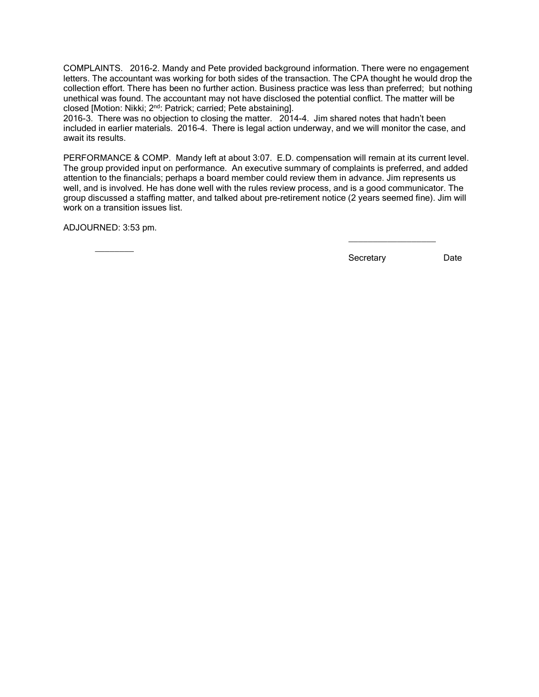COMPLAINTS. 2016-2. Mandy and Pete provided background information. There were no engagement letters. The accountant was working for both sides of the transaction. The CPA thought he would drop the collection effort. There has been no further action. Business practice was less than preferred; but nothing unethical was found. The accountant may not have disclosed the potential conflict. The matter will be closed [Motion: Nikki; 2nd: Patrick; carried; Pete abstaining].

2016-3. There was no objection to closing the matter. 2014-4. Jim shared notes that hadn't been included in earlier materials. 2016-4. There is legal action underway, and we will monitor the case, and await its results.

PERFORMANCE & COMP. Mandy left at about 3:07. E.D. compensation will remain at its current level. The group provided input on performance. An executive summary of complaints is preferred, and added attention to the financials; perhaps a board member could review them in advance. Jim represents us well, and is involved. He has done well with the rules review process, and is a good communicator. The group discussed a staffing matter, and talked about pre-retirement notice (2 years seemed fine). Jim will work on a transition issues list.

ADJOURNED: 3:53 pm.

 $\overline{\phantom{a}}$ 

Secretary Date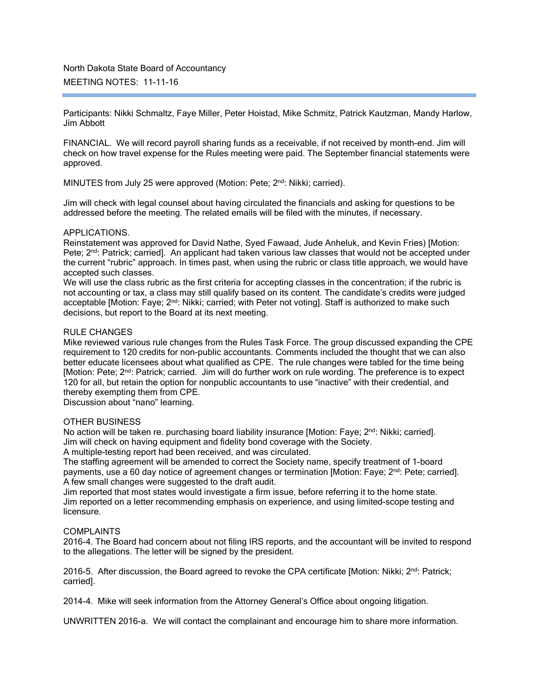Participants: Nikki Schmaltz, Faye Miller, Peter Hoistad, Mike Schmitz, Patrick Kautzman, Mandy Harlow, Jim Abbott

FINANCIAL. We will record payroll sharing funds as a receivable, if not received by month-end. Jim will check on how travel expense for the Rules meeting were paid. The September financial statements were approved.

MINUTES from July 25 were approved (Motion: Pete; 2<sup>nd</sup>: Nikki; carried).

Jim will check with legal counsel about having circulated the financials and asking for questions to be addressed before the meeting. The related emails will be filed with the minutes, if necessary.

# APPLICATIONS.

Reinstatement was approved for David Nathe, Syed Fawaad, Jude Anheluk, and Kevin Fries) [Motion: Pete; 2<sup>nd</sup>: Patrick; carried]. An applicant had taken various law classes that would not be accepted under the current "rubric" approach. In times past, when using the rubric or class title approach, we would have accepted such classes.

We will use the class rubric as the first criteria for accepting classes in the concentration; if the rubric is not accounting or tax, a class may still qualify based on its content. The candidate's credits were judged acceptable [Motion: Faye; 2<sup>nd</sup>: Nikki; carried; with Peter not voting]. Staff is authorized to make such decisions, but report to the Board at its next meeting.

### RULE CHANGES

Mike reviewed various rule changes from the Rules Task Force. The group discussed expanding the CPE requirement to 120 credits for non-public accountants. Comments included the thought that we can also better educate licensees about what qualified as CPE. The rule changes were tabled for the time being [Motion: Pete; 2<sup>nd</sup>: Patrick; carried. Jim will do further work on rule wording. The preference is to expect 120 for all, but retain the option for nonpublic accountants to use "inactive" with their credential, and thereby exempting them from CPE.

Discussion about "nano" learning.

# OTHER BUSINESS

No action will be taken re. purchasing board liability insurance [Motion: Faye; 2<sup>nd</sup>: Nikki; carried]. Jim will check on having equipment and fidelity bond coverage with the Society.

A multiple-testing report had been received, and was circulated.

The staffing agreement will be amended to correct the Society name, specify treatment of 1-board payments, use a 60 day notice of agreement changes or termination [Motion: Faye; 2<sup>nd</sup>: Pete; carried]. A few small changes were suggested to the draft audit.

Jim reported that most states would investigate a firm issue, before referring it to the home state. Jim reported on a letter recommending emphasis on experience, and using limited-scope testing and licensure.

#### **COMPLAINTS**

2016-4. The Board had concern about not filing IRS reports, and the accountant will be invited to respond to the allegations. The letter will be signed by the president.

2016-5. After discussion, the Board agreed to revoke the CPA certificate [Motion: Nikki;  $2^{nd}$ : Patrick; carried].

2014-4. Mike will seek information from the Attorney General's Office about ongoing litigation.

UNWRITTEN 2016-a. We will contact the complainant and encourage him to share more information.